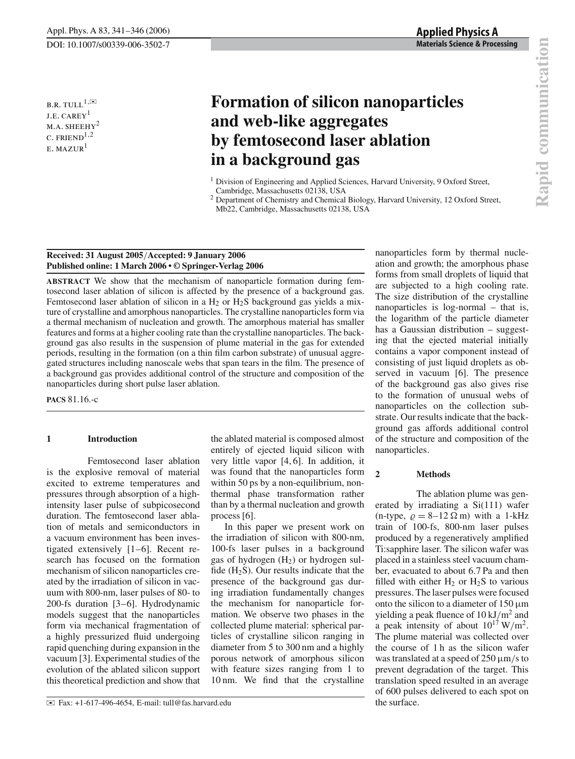B.R. TULL<sup>1, $\boxtimes$ </sup> J.E. CAREY<sup>1</sup> M.A. SHEEHY<sup>2</sup> C. FRIEND<sup> $1,2$ </sup>  $E.$  MAZUR $<sup>1</sup>$ </sup>

# **Formation of silicon nanoparticles and web-like aggregates by femtosecond laser ablation in a background gas**

<sup>1</sup> Division of Engineering and Applied Sciences, Harvard University, 9 Oxford Street, Cambridge, Massachusetts 02138, USA

<sup>2</sup> Department of Chemistry and Chemical Biology, Harvard University, 12 Oxford Street, Mb22, Cambridge, Massachusetts 02138, USA

## **Received: 31 August 2005**/**Accepted: 9 January 2006 Published online: 1 March 2006 • © Springer-Verlag 2006**

**ABSTRACT** We show that the mechanism of nanoparticle formation during femtosecond laser ablation of silicon is affected by the presence of a background gas. Femtosecond laser ablation of silicon in a  $H_2$  or  $H_2S$  background gas yields a mixture of crystalline and amorphous nanoparticles. The crystalline nanoparticles form via a thermal mechanism of nucleation and growth. The amorphous material has smaller features and forms at a higher cooling rate than the crystalline nanoparticles. The background gas also results in the suspension of plume material in the gas for extended periods, resulting in the formation (on a thin film carbon substrate) of unusual aggregated structures including nanoscale webs that span tears in the film. The presence of a background gas provides additional control of the structure and composition of the nanoparticles during short pulse laser ablation.

**PACS** 81.16.-c

## **1 Introduction**

Femtosecond laser ablation is the explosive removal of material excited to extreme temperatures and pressures through absorption of a highintensity laser pulse of subpicosecond duration. The femtosecond laser ablation of metals and semiconductors in a vacuum environment has been investigated extensively [1–6]. Recent research has focused on the formation mechanism of silicon nanoparticles created by the irradiation of silicon in vacuum with 800-nm, laser pulses of 80- to 200-fs duration [3–6]. Hydrodynamic models suggest that the nanoparticles form via mechanical fragmentation of a highly pressurized fluid undergoing rapid quenching during expansion in the vacuum [3]. Experimental studies of the evolution of the ablated silicon support this theoretical prediction and show that

the ablated material is composed almost entirely of ejected liquid silicon with very little vapor [4, 6]. In addition, it was found that the nanoparticles form within 50 ps by a non-equilibrium, nonthermal phase transformation rather than by a thermal nucleation and growth process [6].

In this paper we present work on the irradiation of silicon with 800-nm, 100-fs laser pulses in a background gas of hydrogen  $(H<sub>2</sub>)$  or hydrogen sulfide  $(H_2S)$ . Our results indicate that the presence of the background gas during irradiation fundamentally changes the mechanism for nanoparticle formation. We observe two phases in the collected plume material: spherical particles of crystalline silicon ranging in diameter from 5 to 300 nm and a highly porous network of amorphous silicon with feature sizes ranging from 1 to 10 nm. We find that the crystalline

nanoparticles form by thermal nucleation and growth; the amorphous phase forms from small droplets of liquid that are subjected to a high cooling rate. The size distribution of the crystalline nanoparticles is log-normal – that is, the logarithm of the particle diameter has a Gaussian distribution – suggesting that the ejected material initially contains a vapor component instead of consisting of just liquid droplets as observed in vacuum [6]. The presence of the background gas also gives rise to the formation of unusual webs of nanoparticles on the collection substrate. Our results indicate that the background gas affords additional control of the structure and composition of the nanoparticles.

## **2 Methods**

The ablation plume was generated by irradiating a Si(111) wafer (n-type,  $\rho = 8-12 \Omega$  m) with a 1-kHz train of 100-fs, 800-nm laser pulses produced by a regeneratively amplified Ti:sapphire laser. The silicon wafer was placed in a stainless steel vacuum chamber, evacuated to about 6.7 Pa and then filled with either  $H_2$  or  $H_2S$  to various pressures. The laser pulses were focused onto the silicon to a diameter of  $150 \mu m$ yielding a peak fluence of  $10 \text{ kJ/m}^2$  and a peak intensity of about  $10^{17}$  W/m<sup>2</sup>. The plume material was collected over the course of 1 h as the silicon wafer was translated at a speed of  $250 \mu m/s$  to prevent degradation of the target. This translation speed resulted in an average of 600 pulses delivered to each spot on the surface.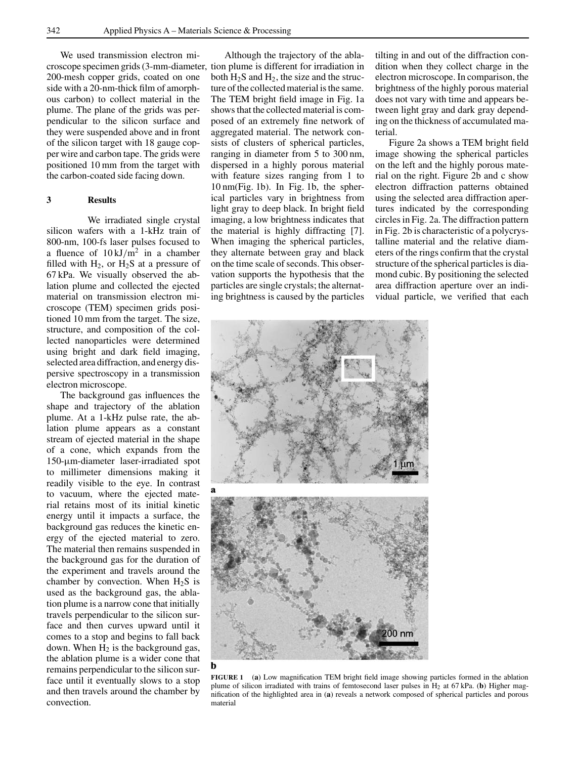We used transmission electron microscope specimen grids (3-mm-diameter, tion plume is different for irradiation in 200-mesh copper grids, coated on one side with a 20-nm-thick film of amorphous carbon) to collect material in the plume. The plane of the grids was perpendicular to the silicon surface and they were suspended above and in front of the silicon target with 18 gauge copper wire and carbon tape. The grids were positioned 10 mm from the target with the carbon-coated side facing down.

#### **3 Results**

We irradiated single crystal silicon wafers with a 1-kHz train of 800-nm, 100-fs laser pulses focused to a fluence of  $10 \text{ kJ/m}^2$  in a chamber filled with  $H_2$ , or  $H_2S$  at a pressure of 67 kPa. We visually observed the ablation plume and collected the ejected material on transmission electron microscope (TEM) specimen grids positioned 10 mm from the target. The size, structure, and composition of the collected nanoparticles were determined using bright and dark field imaging, selected area diffraction, and energy dispersive spectroscopy in a transmission electron microscope.

The background gas influences the shape and trajectory of the ablation plume. At a 1-kHz pulse rate, the ablation plume appears as a constant stream of ejected material in the shape of a cone, which expands from the 150-µm-diameter laser-irradiated spot to millimeter dimensions making it readily visible to the eye. In contrast to vacuum, where the ejected material retains most of its initial kinetic energy until it impacts a surface, the background gas reduces the kinetic energy of the ejected material to zero. The material then remains suspended in the background gas for the duration of the experiment and travels around the chamber by convection. When  $H_2S$  is used as the background gas, the ablation plume is a narrow cone that initially travels perpendicular to the silicon surface and then curves upward until it comes to a stop and begins to fall back down. When  $H_2$  is the background gas, the ablation plume is a wider cone that remains perpendicular to the silicon surface until it eventually slows to a stop and then travels around the chamber by convection.

Although the trajectory of the ablaboth  $H_2S$  and  $H_2$ , the size and the structure of the collected material is the same. The TEM bright field image in Fig. 1a shows that the collected material is composed of an extremely fine network of aggregated material. The network consists of clusters of spherical particles, ranging in diameter from 5 to 300 nm, dispersed in a highly porous material with feature sizes ranging from 1 to 10 nm(Fig. 1b). In Fig. 1b, the spherical particles vary in brightness from light gray to deep black. In bright field imaging, a low brightness indicates that the material is highly diffracting [7]. When imaging the spherical particles, they alternate between gray and black on the time scale of seconds. This observation supports the hypothesis that the particles are single crystals; the alternating brightness is caused by the particles

tilting in and out of the diffraction condition when they collect charge in the electron microscope. In comparison, the brightness of the highly porous material does not vary with time and appears between light gray and dark gray depending on the thickness of accumulated material.

Figure 2a shows a TEM bright field image showing the spherical particles on the left and the highly porous material on the right. Figure 2b and c show electron diffraction patterns obtained using the selected area diffraction apertures indicated by the corresponding circles in Fig. 2a. The diffraction pattern in Fig. 2b is characteristic of a polycrystalline material and the relative diameters of the rings confirm that the crystal structure of the spherical particles is diamond cubic. By positioning the selected area diffraction aperture over an individual particle, we verified that each



**FIGURE 1** (**a**) Low magnification TEM bright field image showing particles formed in the ablation plume of silicon irradiated with trains of femtosecond laser pulses in H2 at 67 kPa. (**b**) Higher magnification of the highlighted area in (**a**) reveals a network composed of spherical particles and porous material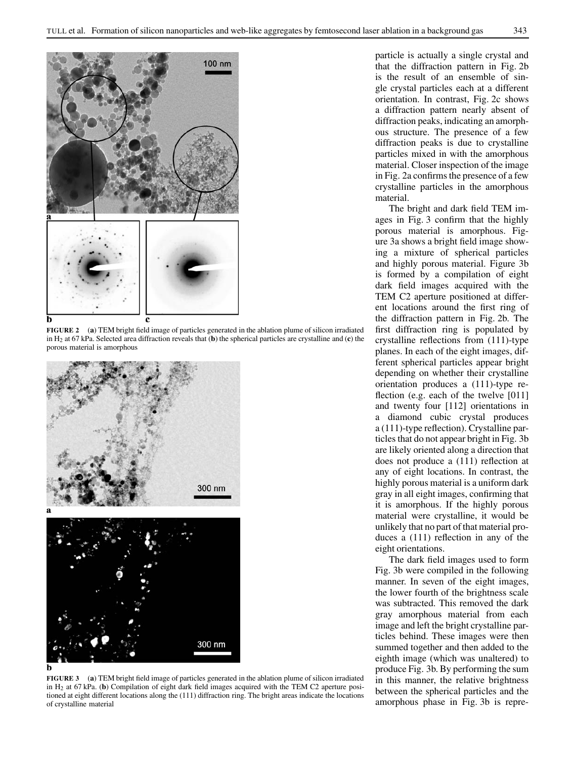

**FIGURE 2** (**a**) TEM bright field image of particles generated in the ablation plume of silicon irradiated in H2 at 67 kPa. Selected area diffraction reveals that (**b**) the spherical particles are crystalline and (**c**) the porous material is amorphous



h

**FIGURE 3** (**a**) TEM bright field image of particles generated in the ablation plume of silicon irradiated in H2 at 67 kPa. (**b**) Compilation of eight dark field images acquired with the TEM C2 aperture positioned at eight different locations along the (111) diffraction ring. The bright areas indicate the locations of crystalline material

particle is actually a single crystal and that the diffraction pattern in Fig. 2b is the result of an ensemble of single crystal particles each at a different orientation. In contrast, Fig. 2c shows a diffraction pattern nearly absent of diffraction peaks, indicating an amorphous structure. The presence of a few diffraction peaks is due to crystalline particles mixed in with the amorphous material. Closer inspection of the image in Fig. 2a confirms the presence of a few crystalline particles in the amorphous material.

The bright and dark field TEM images in Fig. 3 confirm that the highly porous material is amorphous. Figure 3a shows a bright field image showing a mixture of spherical particles and highly porous material. Figure 3b is formed by a compilation of eight dark field images acquired with the TEM C2 aperture positioned at different locations around the first ring of the diffraction pattern in Fig. 2b. The first diffraction ring is populated by crystalline reflections from (111)-type planes. In each of the eight images, different spherical particles appear bright depending on whether their crystalline orientation produces a (111)-type reflection (e.g. each of the twelve [011] and twenty four [112] orientations in a diamond cubic crystal produces a (111)-type reflection). Crystalline particles that do not appear bright in Fig. 3b are likely oriented along a direction that does not produce a (111) reflection at any of eight locations. In contrast, the highly porous material is a uniform dark gray in all eight images, confirming that it is amorphous. If the highly porous material were crystalline, it would be unlikely that no part of that material produces a (111) reflection in any of the eight orientations.

The dark field images used to form Fig. 3b were compiled in the following manner. In seven of the eight images, the lower fourth of the brightness scale was subtracted. This removed the dark gray amorphous material from each image and left the bright crystalline particles behind. These images were then summed together and then added to the eighth image (which was unaltered) to produce Fig. 3b. By performing the sum in this manner, the relative brightness between the spherical particles and the amorphous phase in Fig. 3b is repre-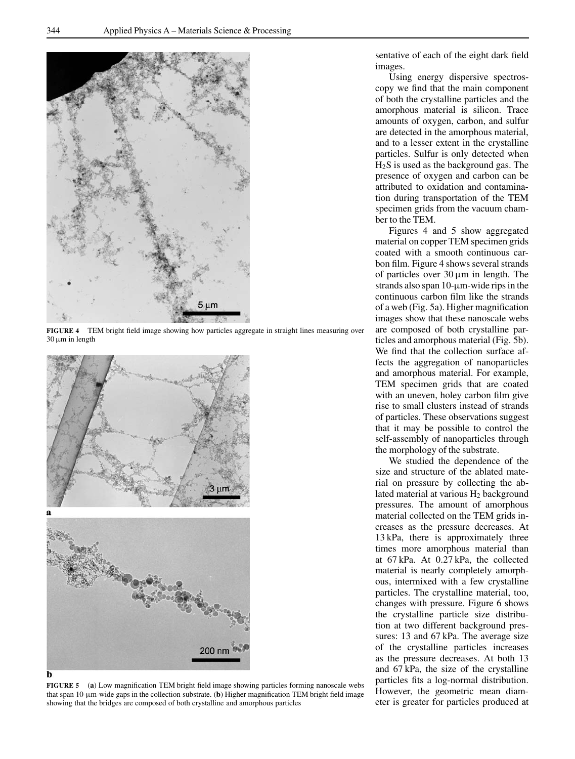

**FIGURE 4** TEM bright field image showing how particles aggregate in straight lines measuring over  $30 \mu m$  in length



**FIGURE 5** (**a**) Low magnification TEM bright field image showing particles forming nanoscale webs that span  $10$ - $\mu$ m-wide gaps in the collection substrate. (**b**) Higher magnification TEM bright field image showing that the bridges are composed of both crystalline and amorphous particles

sentative of each of the eight dark field images.

Using energy dispersive spectroscopy we find that the main component of both the crystalline particles and the amorphous material is silicon. Trace amounts of oxygen, carbon, and sulfur are detected in the amorphous material, and to a lesser extent in the crystalline particles. Sulfur is only detected when H2S is used as the background gas. The presence of oxygen and carbon can be attributed to oxidation and contamination during transportation of the TEM specimen grids from the vacuum chamber to the TEM.

Figures 4 and 5 show aggregated material on copper TEM specimen grids coated with a smooth continuous carbon film. Figure 4 shows several strands of particles over  $30 \mu m$  in length. The strands also span 10-µm-wide rips in the continuous carbon film like the strands of a web (Fig. 5a). Higher magnification images show that these nanoscale webs are composed of both crystalline particles and amorphous material (Fig. 5b). We find that the collection surface affects the aggregation of nanoparticles and amorphous material. For example, TEM specimen grids that are coated with an uneven, holey carbon film give rise to small clusters instead of strands of particles. These observations suggest that it may be possible to control the self-assembly of nanoparticles through the morphology of the substrate.

We studied the dependence of the size and structure of the ablated material on pressure by collecting the ablated material at various  $H_2$  background pressures. The amount of amorphous material collected on the TEM grids increases as the pressure decreases. At 13 kPa, there is approximately three times more amorphous material than at 67 kPa. At 0.27 kPa, the collected material is nearly completely amorphous, intermixed with a few crystalline particles. The crystalline material, too, changes with pressure. Figure 6 shows the crystalline particle size distribution at two different background pressures: 13 and 67 kPa. The average size of the crystalline particles increases as the pressure decreases. At both 13 and 67 kPa, the size of the crystalline particles fits a log-normal distribution. However, the geometric mean diameter is greater for particles produced at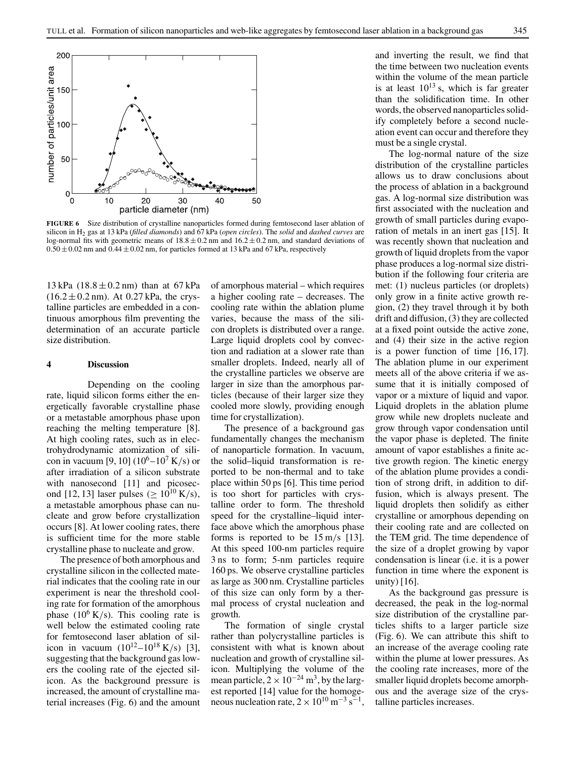

**FIGURE 6** Size distribution of crystalline nanoparticles formed during femtosecond laser ablation of silicon in H2 gas at 13 kPa (*filled diamonds*) and 67 kPa (*open circles*). The *solid* and *dashed curves* are log-normal fits with geometric means of  $18.8 \pm 0.2$  nm and  $16.2 \pm 0.2$  nm, and standard deviations of  $0.50 \pm 0.02$  nm and  $0.44 \pm 0.02$  nm, for particles formed at 13 kPa and 67 kPa, respectively

13 kPa  $(18.8 \pm 0.2 \text{ nm})$  than at 67 kPa  $(16.2 \pm 0.2 \text{ nm})$ . At 0.27 kPa, the crystalline particles are embedded in a continuous amorphous film preventing the determination of an accurate particle size distribution.

## **4 Discussion**

Depending on the cooling rate, liquid silicon forms either the energetically favorable crystalline phase or a metastable amorphous phase upon reaching the melting temperature [8]. At high cooling rates, such as in electrohydrodynamic atomization of silicon in vacuum [9, 10]  $(10^6 - 10^7 \text{ K/s})$  or after irradiation of a silicon substrate with nanosecond [11] and picosecond [12, 13] laser pulses ( $\geq 10^{10}$  K/s), a metastable amorphous phase can nucleate and grow before crystallization occurs [8]. At lower cooling rates, there is sufficient time for the more stable crystalline phase to nucleate and grow.

The presence of both amorphous and crystalline silicon in the collected material indicates that the cooling rate in our experiment is near the threshold cooling rate for formation of the amorphous phase  $(10^6 \text{ K/s})$ . This cooling rate is well below the estimated cooling rate for femtosecond laser ablation of silicon in vacuum  $(10^{12} - 10^{18} \text{ K/s})$  [3], suggesting that the background gas lowers the cooling rate of the ejected silicon. As the background pressure is increased, the amount of crystalline material increases (Fig. 6) and the amount

of amorphous material – which requires a higher cooling rate – decreases. The cooling rate within the ablation plume varies, because the mass of the silicon droplets is distributed over a range. Large liquid droplets cool by convection and radiation at a slower rate than smaller droplets. Indeed, nearly all of the crystalline particles we observe are larger in size than the amorphous particles (because of their larger size they cooled more slowly, providing enough time for crystallization).

The presence of a background gas fundamentally changes the mechanism of nanoparticle formation. In vacuum, the solid–liquid transformation is reported to be non-thermal and to take place within 50 ps [6]. This time period is too short for particles with crystalline order to form. The threshold speed for the crystalline–liquid interface above which the amorphous phase forms is reported to be 15 m/s [13]. At this speed 100-nm particles require 3 ns to form; 5-nm particles require 160 ps. We observe crystalline particles as large as 300 nm. Crystalline particles of this size can only form by a thermal process of crystal nucleation and growth.

The formation of single crystal rather than polycrystalline particles is consistent with what is known about nucleation and growth of crystalline silicon. Multiplying the volume of the mean particle,  $2 \times 10^{-24}$  m<sup>3</sup>, by the largest reported [14] value for the homogeneous nucleation rate,  $2 \times 10^{10}$  m<sup>-3</sup> s<sup>-1</sup>,

and inverting the result, we find that the time between two nucleation events within the volume of the mean particle is at least  $10^{13}$  s, which is far greater than the solidification time. In other words, the observed nanoparticles solidify completely before a second nucleation event can occur and therefore they must be a single crystal.

The log-normal nature of the size distribution of the crystalline particles allows us to draw conclusions about the process of ablation in a background gas. A log-normal size distribution was first associated with the nucleation and growth of small particles during evaporation of metals in an inert gas [15]. It was recently shown that nucleation and growth of liquid droplets from the vapor phase produces a log-normal size distribution if the following four criteria are met: (1) nucleus particles (or droplets) only grow in a finite active growth region, (2) they travel through it by both drift and diffusion, (3) they are collected at a fixed point outside the active zone, and (4) their size in the active region is a power function of time [16, 17]. The ablation plume in our experiment meets all of the above criteria if we assume that it is initially composed of vapor or a mixture of liquid and vapor. Liquid droplets in the ablation plume grow while new droplets nucleate and grow through vapor condensation until the vapor phase is depleted. The finite amount of vapor establishes a finite active growth region. The kinetic energy of the ablation plume provides a condition of strong drift, in addition to diffusion, which is always present. The liquid droplets then solidify as either crystalline or amorphous depending on their cooling rate and are collected on the TEM grid. The time dependence of the size of a droplet growing by vapor condensation is linear (i.e. it is a power function in time where the exponent is unity)  $[16]$ .

As the background gas pressure is decreased, the peak in the log-normal size distribution of the crystalline particles shifts to a larger particle size (Fig. 6). We can attribute this shift to an increase of the average cooling rate within the plume at lower pressures. As the cooling rate increases, more of the smaller liquid droplets become amorphous and the average size of the crystalline particles increases.